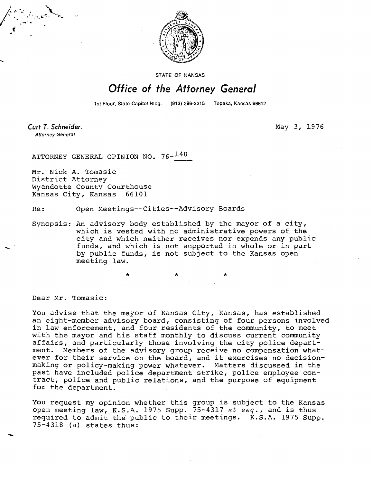

**STATE OF KANSAS** 

## Office of the Attorney General

1st Floor, State Capitol Bldg. (913) 296-2215 Topeka, Kansas 66612

Curt T. Schneider. **Attorney General** 

May 3, 1976

ATTORNEY GENERAL OPINION NO. 76-140

Mr. Nick A. Tomasic District Attorney Wyandotte County Courthouse Kansas City, Kansas 66101

Re: Open Meetings--Cities--Advisory Boards

Synopsis: An advisory body established by the mayor of a city, which is vested with no administrative powers of the city and which neither receives nor expends any public funds, and which is not supported in whole or in part by public funds, is not subject to the Kansas open meeting law.

 $\star$   $\star$   $\star$ 

Dear Mr. Tomasic:

You advise that the mayor of Kansas City, Kansas, has established an eight-member advisory board, consisting of four persons involved in law enforcement, and four residents of the community, to meet with the mayor and his staff monthly to discuss current community affairs, and particularly those involving the city police department. Members of the advisory group receive no compensation whatever for their service on the board, and it exercises no decisionmaking or policy-making power whatever. Matters discussed in the past have included police department strike, police employee contract, police and public relations, and the purpose of equipment for the department.

You request my opinion whether this group is subject to the Kansas open meeting law, K.S.A. 1975 Supp. 75-4317 et seq., and is thus required to admit the public to their meetings. K.S.A. 1975 Supp. 75-4318 (a) states thus: